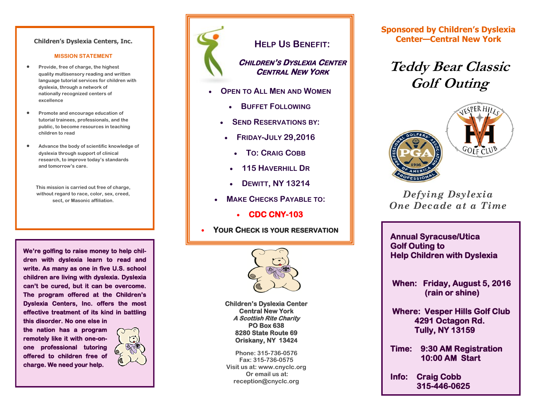#### **Children's Dyslexia Centers, Inc.**

#### **MISSION STATEMENT**

- **Provide, free of charge, the highest quality multisensory reading and written language tutorial services for children with dyslexia, through a network of nationally recognized centers of excellence**
- **Promote and encourage education of tutorial trainees, professionals, and the public, to become resources in teaching children to read**
- **Advance the body of scientific knowledge of dyslexia through support of clinical research, to improve today's standards and tomorrow's care.**
	- **This mission is carried out free of charge, without regard to race, color, sex, creed, sect, or Masonic affiliation.**

**We're golfing to raise money to help children with dyslexia learn to read and write. As many as one in five U.S. school children are living with dyslexia. Dyslexia can't be cured, but it can be overcome. The program offered at the Children's Dyslexia Centers, Inc. offers the most effective treatment of its kind in battling this disorder. No one else in** 

**the nation has a program remotely like it with one-onone professional tutoring offered to children free of charge. We need your help.** 





### **HELP US BENEFIT:**

### **CHILDREN'S DYSLEXIA CENTER CENTRAL NEW YORK**

- **OPEN TO ALL MEN AND WOMEN**
	- **BUFFET FOLLOWING**
	- **SEND RESERVATIONS BY:**
	- **FRIDAY-JULY 29,2016**
		- **TO: CRAIG COBB**
		- **115 HAVERHILL DR**
		- **DEWITT, NY 13214**
	- **MAKE CHECKS PAYABLE TO:**
		- **CDC CNY-103**
- **YOUR CHECK IS YOUR RESERVATION**



**Children's Dyslexia Center Central New York A Scottish Rite Charity PO Box 638 8280 State Route 69 Oriskany, NY 13424** 

**Phone: 315-736-0576 Fax: 315-736-0575 Visit us at: www.cnyclc.org Or email us at: reception@cnyclc.org**

**Sponsored by Children's Dyslexia Center—Central New York**

# **Teddy Bear Classic Golf Outing**





### *Defying Dsylexia One Decade at a Time*

**Annual Syracuse/Utica Golf Outing to Help Children with Dyslexia** 

 **When: Friday, August 5, 2016 (rain or shine)** 

 **Where: Vesper Hills Golf Club 4291 Octagon Rd. Tully, NY 13159** 

**Time: 9:30 AM Registration 10:00 AM Start** 

**Info: Craig Cobb 315-446-0625**